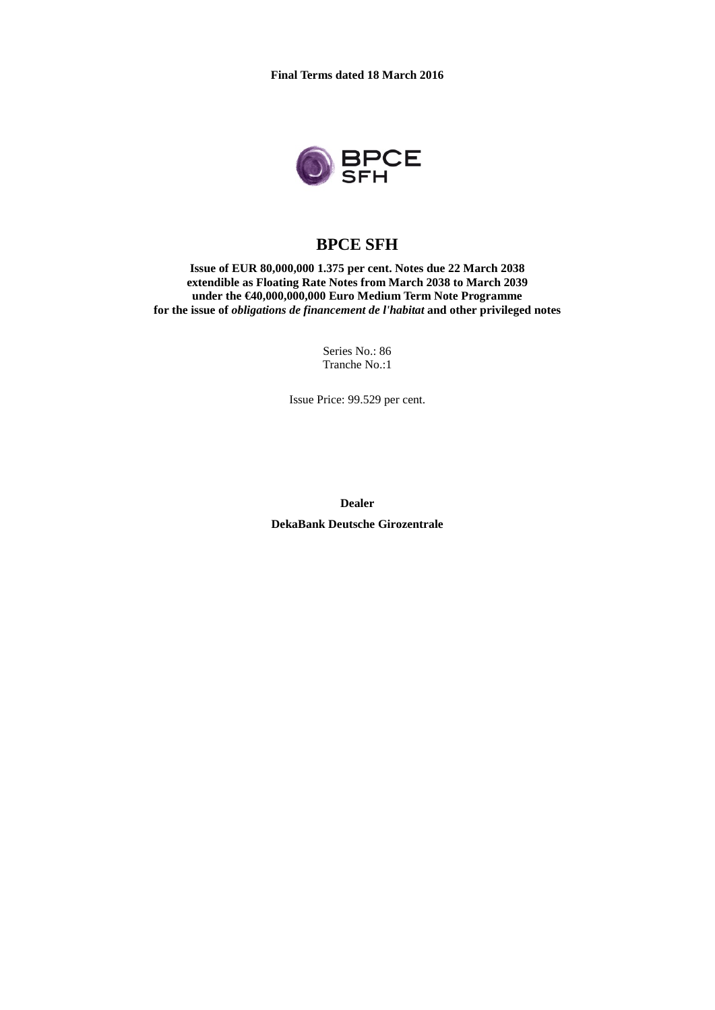

# **BPCE SFH**

**Issue of EUR 80,000,000 1.375 per cent. Notes due 22 March 2038 extendible as Floating Rate Notes from March 2038 to March 2039 under the €40,000,000,000 Euro Medium Term Note Programme for the issue of** *obligations de financement de l'habitat* **and other privileged notes**

> Series No.: 86 Tranche No.:1

Issue Price: 99.529 per cent.

**Dealer**

**DekaBank Deutsche Girozentrale**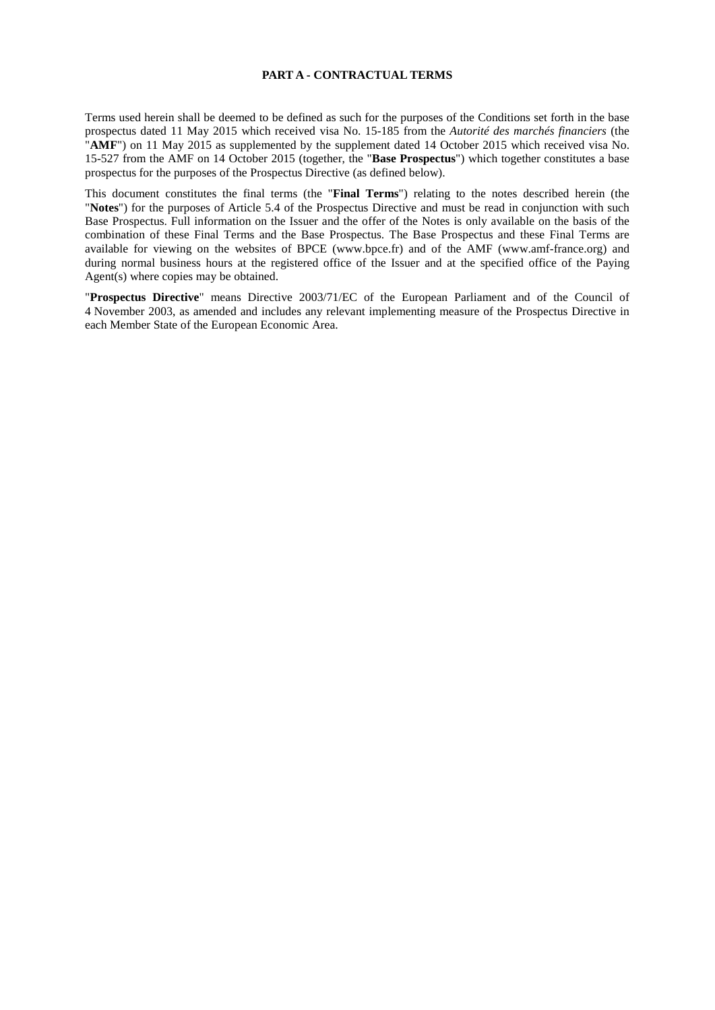#### **PART A - CONTRACTUAL TERMS**

Terms used herein shall be deemed to be defined as such for the purposes of the Conditions set forth in the base prospectus dated 11 May 2015 which received visa No. 15-185 from the *Autorité des marchés financiers* (the "**AMF**") on 11 May 2015 as supplemented by the supplement dated 14 October 2015 which received visa No. 15-527 from the AMF on 14 October 2015 (together, the "**Base Prospectus**") which together constitutes a base prospectus for the purposes of the Prospectus Directive (as defined below).

This document constitutes the final terms (the "**Final Terms**") relating to the notes described herein (the "**Notes**") for the purposes of Article 5.4 of the Prospectus Directive and must be read in conjunction with such Base Prospectus. Full information on the Issuer and the offer of the Notes is only available on the basis of the combination of these Final Terms and the Base Prospectus. The Base Prospectus and these Final Terms are available for viewing on the websites of BPCE (www.bpce.fr) and of the AMF (www.amf-france.org) and during normal business hours at the registered office of the Issuer and at the specified office of the Paying Agent(s) where copies may be obtained.

"**Prospectus Directive**" means Directive 2003/71/EC of the European Parliament and of the Council of 4 November 2003, as amended and includes any relevant implementing measure of the Prospectus Directive in each Member State of the European Economic Area.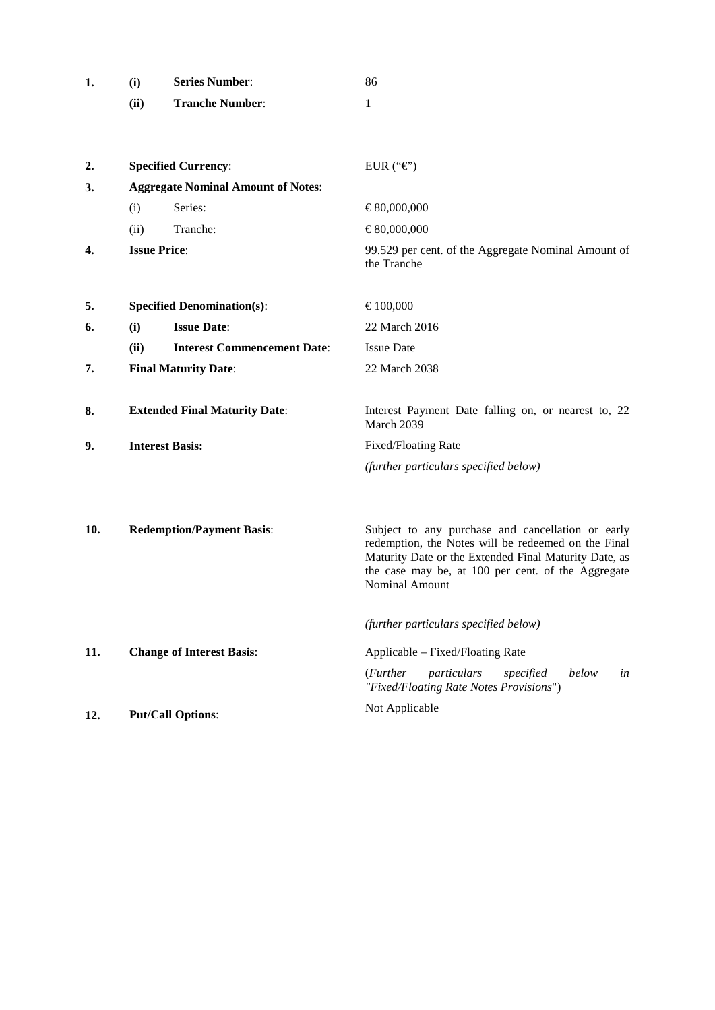| 1. | (i)  | <b>Series Number:</b>  | 86 |
|----|------|------------------------|----|
|    | (ii) | <b>Tranche Number:</b> |    |

| 2.  |      | <b>Specified Currency:</b>                | EUR (" $\mathcal{C}$ ")                                                                                                                                                                                                                          |  |  |
|-----|------|-------------------------------------------|--------------------------------------------------------------------------------------------------------------------------------------------------------------------------------------------------------------------------------------------------|--|--|
| 3.  |      | <b>Aggregate Nominal Amount of Notes:</b> |                                                                                                                                                                                                                                                  |  |  |
|     | (i)  | Series:                                   | €80,000,000                                                                                                                                                                                                                                      |  |  |
|     | (ii) | Tranche:                                  | €80,000,000                                                                                                                                                                                                                                      |  |  |
| 4.  |      | <b>Issue Price:</b>                       | 99.529 per cent. of the Aggregate Nominal Amount of<br>the Tranche                                                                                                                                                                               |  |  |
| 5.  |      | <b>Specified Denomination(s):</b>         | €100,000                                                                                                                                                                                                                                         |  |  |
| 6.  | (i)  | <b>Issue Date:</b>                        | 22 March 2016                                                                                                                                                                                                                                    |  |  |
|     | (ii) | <b>Interest Commencement Date:</b>        | <b>Issue Date</b>                                                                                                                                                                                                                                |  |  |
| 7.  |      | <b>Final Maturity Date:</b>               | 22 March 2038                                                                                                                                                                                                                                    |  |  |
| 8.  |      | <b>Extended Final Maturity Date:</b>      | Interest Payment Date falling on, or nearest to, 22<br>March 2039                                                                                                                                                                                |  |  |
| 9.  |      | <b>Interest Basis:</b>                    | Fixed/Floating Rate                                                                                                                                                                                                                              |  |  |
|     |      |                                           | (further particulars specified below)                                                                                                                                                                                                            |  |  |
| 10. |      | <b>Redemption/Payment Basis:</b>          | Subject to any purchase and cancellation or early<br>redemption, the Notes will be redeemed on the Final<br>Maturity Date or the Extended Final Maturity Date, as<br>the case may be, at 100 per cent. of the Aggregate<br><b>Nominal Amount</b> |  |  |
| 11. |      | <b>Change of Interest Basis:</b>          | (further particulars specified below)<br>Applicable – Fixed/Floating Rate<br>( <i>Further</i><br>below<br>particulars<br>specified<br>in<br>"Fixed/Floating Rate Notes Provisions")                                                              |  |  |
| 12. |      | <b>Put/Call Options:</b>                  | Not Applicable                                                                                                                                                                                                                                   |  |  |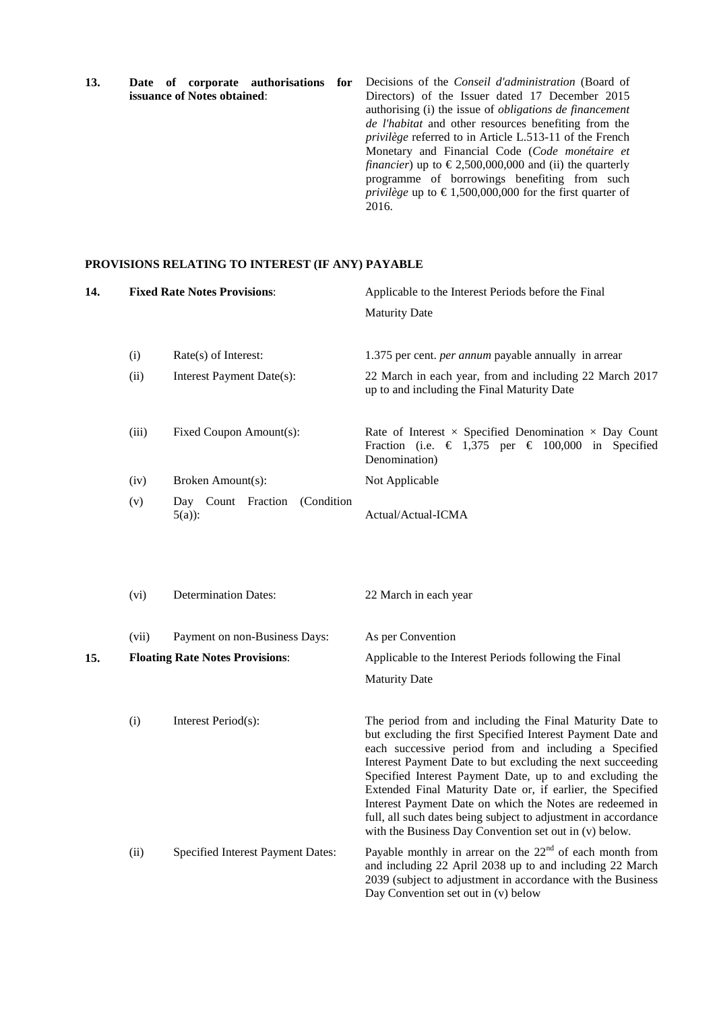**13. Date of corporate authorisations for issuance of Notes obtained**: Decisions of the *Conseil d'administration* (Board of Directors) of the Issuer dated 17 December 2015 authorising (i) the issue of *obligations de financement de l'habitat* and other resources benefiting from the *privilège* referred to in Article L.513-11 of the French Monetary and Financial Code (*Code monétaire et financier*) up to  $\epsilon$ 2,500,000,000 and (ii) the quarterly programme of borrowings benefiting from such *privilège* up to  $\epsilon$ 1,500,000,000 for the first quarter of 2016.

## **PROVISIONS RELATING TO INTEREST (IF ANY) PAYABLE**

| 14. |       | <b>Fixed Rate Notes Provisions:</b>          | Applicable to the Interest Periods before the Final                                                                                                                                                                                                                                                                                                                                                                                                                                                                                                              |  |
|-----|-------|----------------------------------------------|------------------------------------------------------------------------------------------------------------------------------------------------------------------------------------------------------------------------------------------------------------------------------------------------------------------------------------------------------------------------------------------------------------------------------------------------------------------------------------------------------------------------------------------------------------------|--|
|     |       |                                              | <b>Maturity Date</b>                                                                                                                                                                                                                                                                                                                                                                                                                                                                                                                                             |  |
|     | (i)   | Rate(s) of Interest:                         | 1.375 per cent. <i>per annum</i> payable annually in arrear                                                                                                                                                                                                                                                                                                                                                                                                                                                                                                      |  |
|     | (ii)  | Interest Payment Date(s):                    | 22 March in each year, from and including 22 March 2017<br>up to and including the Final Maturity Date                                                                                                                                                                                                                                                                                                                                                                                                                                                           |  |
|     | (iii) | Fixed Coupon Amount(s):                      | Rate of Interest $\times$ Specified Denomination $\times$ Day Count<br>Fraction (i.e. $\in$ 1,375 per $\in$ 100,000 in Specified<br>Denomination)                                                                                                                                                                                                                                                                                                                                                                                                                |  |
|     | (iv)  | Broken Amount(s):                            | Not Applicable                                                                                                                                                                                                                                                                                                                                                                                                                                                                                                                                                   |  |
|     | (v)   | Day Count Fraction<br>(Condition<br>$5(a)$ : | Actual/Actual-ICMA                                                                                                                                                                                                                                                                                                                                                                                                                                                                                                                                               |  |
|     | (vi)  | <b>Determination Dates:</b>                  | 22 March in each year                                                                                                                                                                                                                                                                                                                                                                                                                                                                                                                                            |  |
|     | (vii) | Payment on non-Business Days:                | As per Convention                                                                                                                                                                                                                                                                                                                                                                                                                                                                                                                                                |  |
| 15. |       | <b>Floating Rate Notes Provisions:</b>       | Applicable to the Interest Periods following the Final                                                                                                                                                                                                                                                                                                                                                                                                                                                                                                           |  |
|     |       |                                              | <b>Maturity Date</b>                                                                                                                                                                                                                                                                                                                                                                                                                                                                                                                                             |  |
|     | (i)   | Interest Period(s):                          | The period from and including the Final Maturity Date to<br>but excluding the first Specified Interest Payment Date and<br>each successive period from and including a Specified<br>Interest Payment Date to but excluding the next succeeding<br>Specified Interest Payment Date, up to and excluding the<br>Extended Final Maturity Date or, if earlier, the Specified<br>Interest Payment Date on which the Notes are redeemed in<br>full, all such dates being subject to adjustment in accordance<br>with the Business Day Convention set out in (v) below. |  |
|     | (ii)  | Specified Interest Payment Dates:            | Payable monthly in arrear on the $22nd$ of each month from<br>and including 22 April 2038 up to and including 22 March<br>2039 (subject to adjustment in accordance with the Business<br>Day Convention set out in (v) below                                                                                                                                                                                                                                                                                                                                     |  |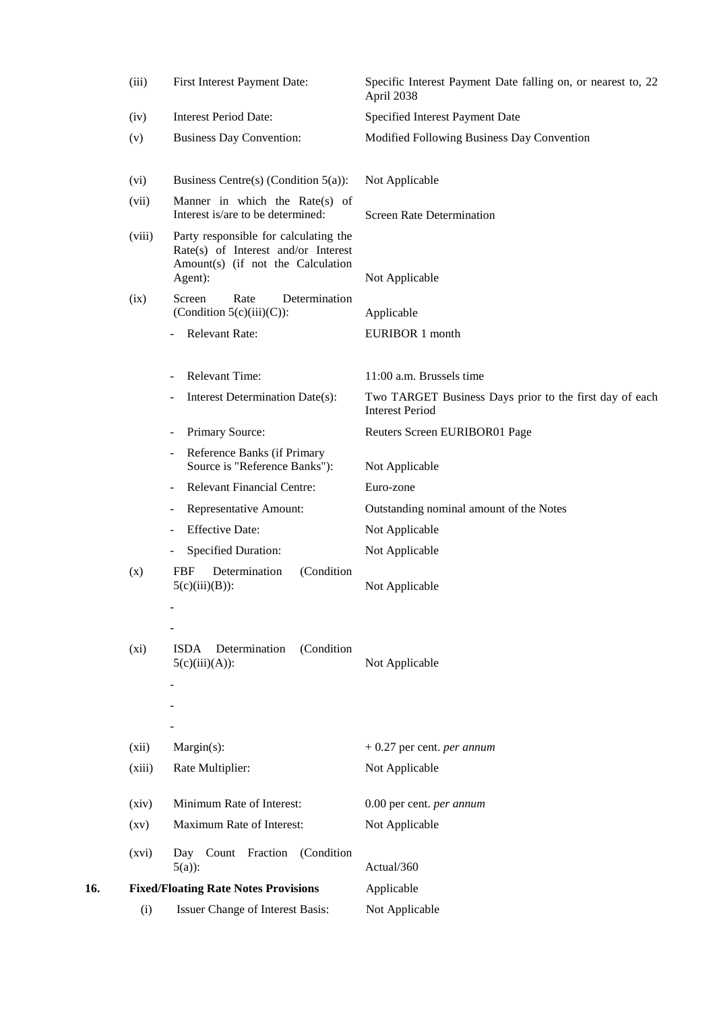|     | (iii)              | First Interest Payment Date:                                                                                                 | Specific Interest Payment Date falling on, or nearest to, 22<br>April 2038        |
|-----|--------------------|------------------------------------------------------------------------------------------------------------------------------|-----------------------------------------------------------------------------------|
|     | (iv)               | <b>Interest Period Date:</b>                                                                                                 | Specified Interest Payment Date                                                   |
|     | (v)                | <b>Business Day Convention:</b>                                                                                              | Modified Following Business Day Convention                                        |
|     | (vi)               | Business Centre(s) (Condition $5(a)$ ):                                                                                      | Not Applicable                                                                    |
|     | (vii)              | Manner in which the Rate(s) of<br>Interest is/are to be determined:                                                          | <b>Screen Rate Determination</b>                                                  |
|     | (viii)             | Party responsible for calculating the<br>Rate(s) of Interest and/or Interest<br>Amount(s) (if not the Calculation<br>Agent): | Not Applicable                                                                    |
|     | (ix)               | Screen<br>Determination<br>Rate<br>(Condition $5(c)(iii)(C)$ ):                                                              | Applicable                                                                        |
|     |                    | <b>Relevant Rate:</b>                                                                                                        | <b>EURIBOR 1 month</b>                                                            |
|     |                    | <b>Relevant Time:</b>                                                                                                        | 11:00 a.m. Brussels time                                                          |
|     |                    | Interest Determination Date(s):                                                                                              | Two TARGET Business Days prior to the first day of each<br><b>Interest Period</b> |
|     |                    | Primary Source:                                                                                                              | Reuters Screen EURIBOR01 Page                                                     |
|     |                    | Reference Banks (if Primary<br>$\overline{\phantom{0}}$<br>Source is "Reference Banks"):                                     | Not Applicable                                                                    |
|     |                    | <b>Relevant Financial Centre:</b>                                                                                            | Euro-zone                                                                         |
|     |                    | Representative Amount:                                                                                                       | Outstanding nominal amount of the Notes                                           |
|     |                    | <b>Effective Date:</b>                                                                                                       | Not Applicable                                                                    |
|     |                    | <b>Specified Duration:</b>                                                                                                   | Not Applicable                                                                    |
|     | (x)                | <b>FBF</b><br>Determination<br>(Condition<br>$5(c)(iii)(B))$ :                                                               | Not Applicable                                                                    |
|     |                    |                                                                                                                              |                                                                                   |
|     | (xi)               | Determination<br>(Condition<br><b>ISDA</b><br>$5(c)(iii)(A))$ :                                                              | Not Applicable                                                                    |
|     |                    |                                                                                                                              |                                                                                   |
|     | (xii)              | Margin(s):                                                                                                                   | $+0.27$ per cent. per annum                                                       |
|     | (xiii)             | Rate Multiplier:                                                                                                             | Not Applicable                                                                    |
|     | (xiv)              | Minimum Rate of Interest:                                                                                                    | 0.00 per cent. per annum                                                          |
|     | $\left( xy\right)$ | Maximum Rate of Interest:                                                                                                    | Not Applicable                                                                    |
|     | (xvi)              | Day Count Fraction (Condition<br>$5(a)$ :                                                                                    | Actual/360                                                                        |
| 16. |                    | <b>Fixed/Floating Rate Notes Provisions</b>                                                                                  | Applicable                                                                        |
|     | (i)                | Issuer Change of Interest Basis:                                                                                             | Not Applicable                                                                    |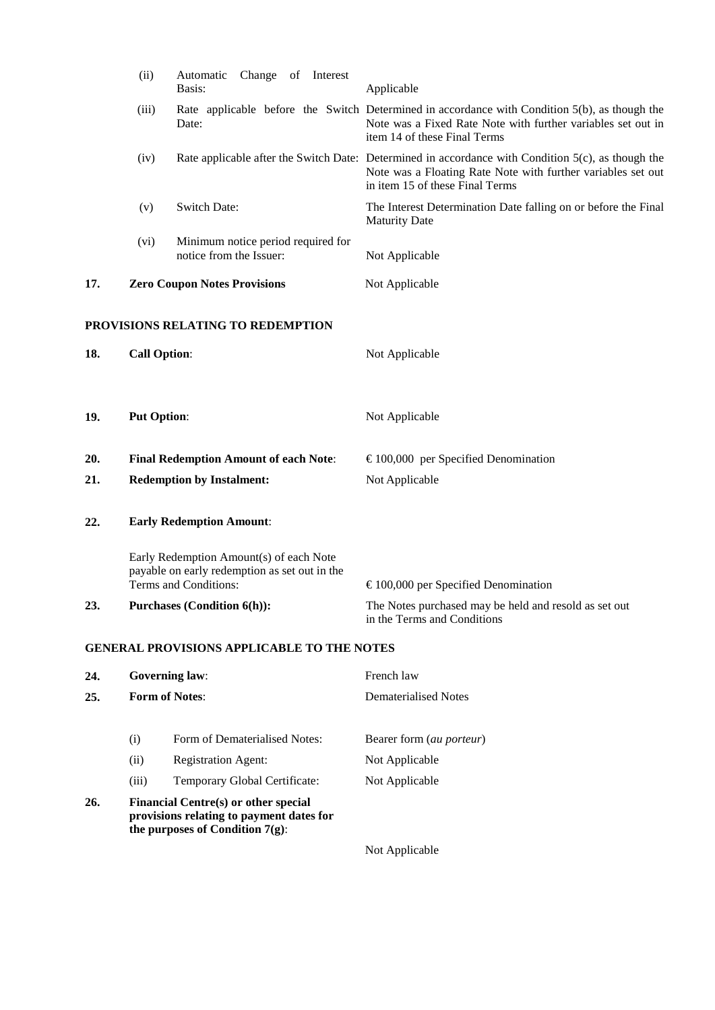|     | (ii)                                         | Change of Interest<br>Automatic<br>Basis:                                                                              | Applicable                                                                                                                                                                                               |
|-----|----------------------------------------------|------------------------------------------------------------------------------------------------------------------------|----------------------------------------------------------------------------------------------------------------------------------------------------------------------------------------------------------|
|     | (iii)                                        | Date:                                                                                                                  | Rate applicable before the Switch Determined in accordance with Condition 5(b), as though the<br>Note was a Fixed Rate Note with further variables set out in<br>item 14 of these Final Terms            |
|     | (iv)                                         |                                                                                                                        | Rate applicable after the Switch Date: Determined in accordance with Condition $5(c)$ , as though the<br>Note was a Floating Rate Note with further variables set out<br>in item 15 of these Final Terms |
|     | (v)                                          | Switch Date:                                                                                                           | The Interest Determination Date falling on or before the Final<br><b>Maturity Date</b>                                                                                                                   |
|     | (vi)                                         | Minimum notice period required for<br>notice from the Issuer:                                                          | Not Applicable                                                                                                                                                                                           |
| 17. | <b>Zero Coupon Notes Provisions</b>          |                                                                                                                        | Not Applicable                                                                                                                                                                                           |
|     |                                              | PROVISIONS RELATING TO REDEMPTION                                                                                      |                                                                                                                                                                                                          |
| 18. | <b>Call Option:</b>                          |                                                                                                                        | Not Applicable                                                                                                                                                                                           |
| 19. | <b>Put Option:</b>                           |                                                                                                                        | Not Applicable                                                                                                                                                                                           |
| 20. | <b>Final Redemption Amount of each Note:</b> |                                                                                                                        | $\epsilon$ 100,000 per Specified Denomination                                                                                                                                                            |
| 21. |                                              | <b>Redemption by Instalment:</b>                                                                                       | Not Applicable                                                                                                                                                                                           |
| 22. |                                              | <b>Early Redemption Amount:</b>                                                                                        |                                                                                                                                                                                                          |
|     |                                              | Early Redemption Amount(s) of each Note<br>payable on early redemption as set out in the<br>Terms and Conditions:      | $\epsilon$ 100,000 per Specified Denomination                                                                                                                                                            |
| 23. | <b>Purchases (Condition 6(h)):</b>           |                                                                                                                        | The Notes purchased may be held and resold as set out<br>in the Terms and Conditions                                                                                                                     |
|     |                                              | <b>GENERAL PROVISIONS APPLICABLE TO THE NOTES</b>                                                                      |                                                                                                                                                                                                          |
| 24. | <b>Governing law:</b>                        |                                                                                                                        | French law                                                                                                                                                                                               |
| 25. |                                              | <b>Form of Notes:</b>                                                                                                  | <b>Dematerialised Notes</b>                                                                                                                                                                              |
|     | (i)                                          | Form of Dematerialised Notes:                                                                                          | Bearer form (au porteur)                                                                                                                                                                                 |
|     | (ii)                                         | <b>Registration Agent:</b>                                                                                             | Not Applicable                                                                                                                                                                                           |
|     | (iii)                                        | Temporary Global Certificate:                                                                                          | Not Applicable                                                                                                                                                                                           |
| 26. |                                              | Financial Centre(s) or other special<br>provisions relating to payment dates for<br>the purposes of Condition $7(g)$ : |                                                                                                                                                                                                          |
|     |                                              |                                                                                                                        | Not Applicable                                                                                                                                                                                           |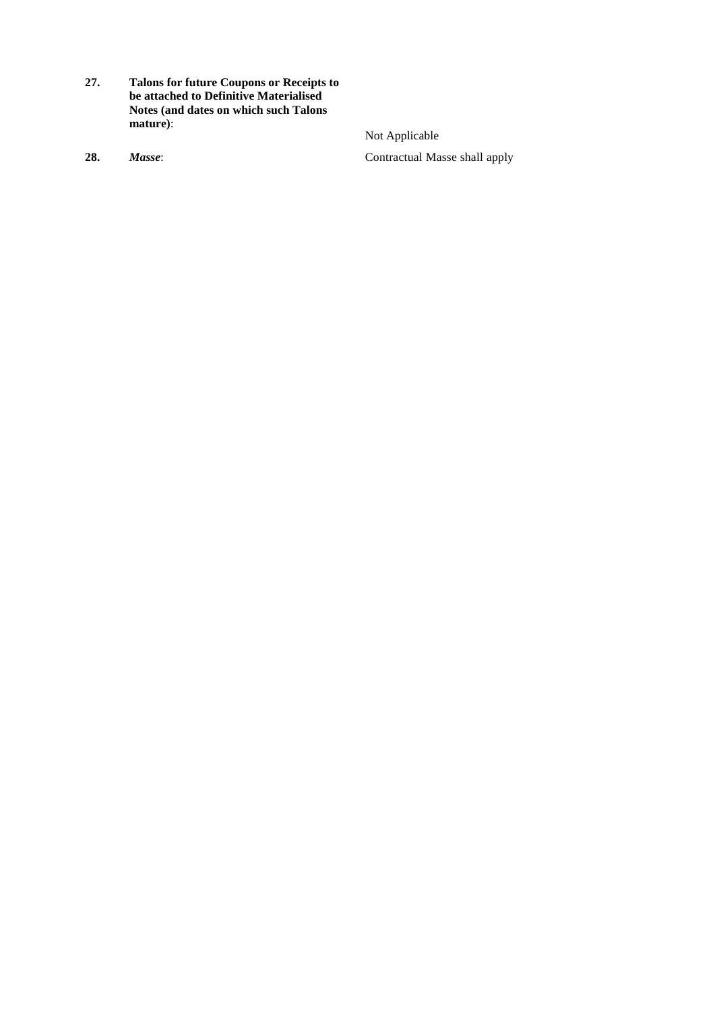- **27. Talons for future Coupons or Receipts to be attached to Definitive Materialised Notes (and dates on which such Talons mature)**:
- 

Not Applicable **28.** *Masse*: Contractual Masse shall apply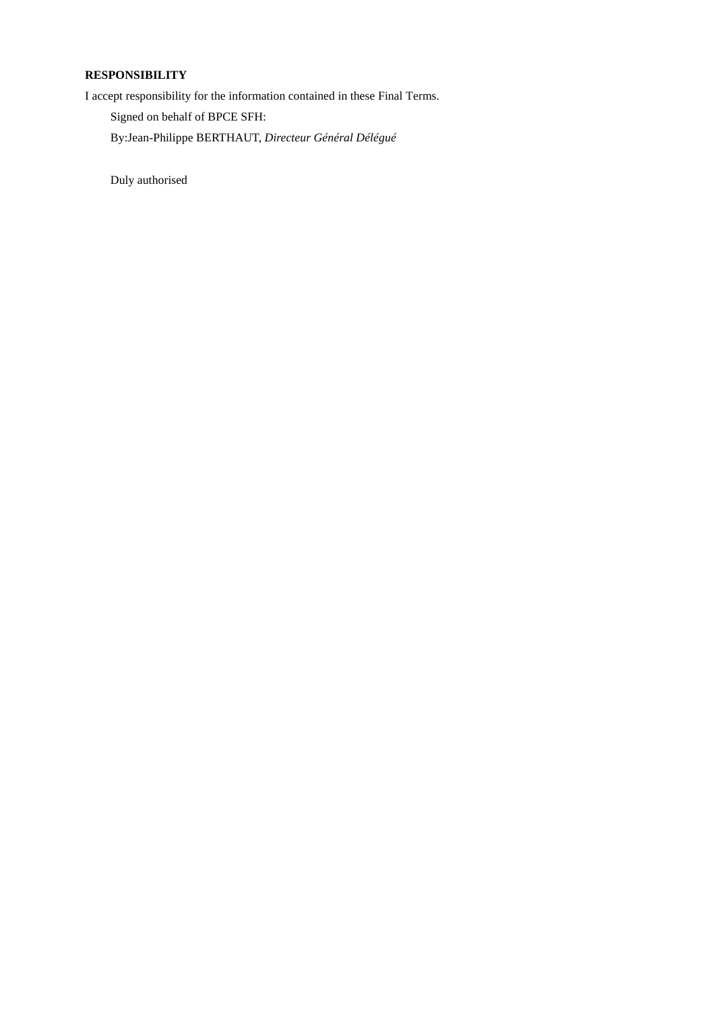# **RESPONSIBILITY**

I accept responsibility for the information contained in these Final Terms.

Signed on behalf of BPCE SFH:

By:Jean-Philippe BERTHAUT, *Directeur Général Délégué*

Duly authorised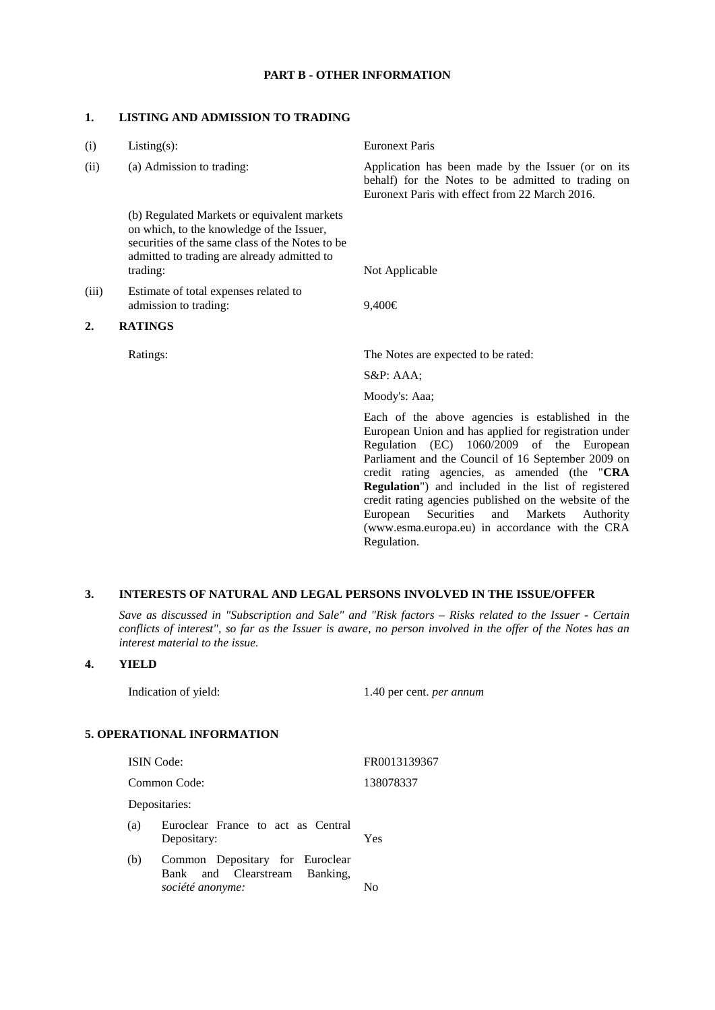#### **PART B - OTHER INFORMATION**

#### **1. LISTING AND ADMISSION TO TRADING**

| (i)   | $Listing(s)$ :                                                                                                                                                                                         | <b>Euronext Paris</b>                                                                                                                                                                                                                                                                                                                                                                                                                                                                                            |
|-------|--------------------------------------------------------------------------------------------------------------------------------------------------------------------------------------------------------|------------------------------------------------------------------------------------------------------------------------------------------------------------------------------------------------------------------------------------------------------------------------------------------------------------------------------------------------------------------------------------------------------------------------------------------------------------------------------------------------------------------|
| (ii)  | (a) Admission to trading:                                                                                                                                                                              | Application has been made by the Issuer (or on its<br>behalf) for the Notes to be admitted to trading on<br>Euronext Paris with effect from 22 March 2016.                                                                                                                                                                                                                                                                                                                                                       |
|       | (b) Regulated Markets or equivalent markets<br>on which, to the knowledge of the Issuer,<br>securities of the same class of the Notes to be<br>admitted to trading are already admitted to<br>trading: | Not Applicable                                                                                                                                                                                                                                                                                                                                                                                                                                                                                                   |
| (iii) | Estimate of total expenses related to<br>admission to trading:                                                                                                                                         | 9,400€                                                                                                                                                                                                                                                                                                                                                                                                                                                                                                           |
| 2.    | <b>RATINGS</b>                                                                                                                                                                                         |                                                                                                                                                                                                                                                                                                                                                                                                                                                                                                                  |
|       | Ratings:                                                                                                                                                                                               | The Notes are expected to be rated:                                                                                                                                                                                                                                                                                                                                                                                                                                                                              |
|       |                                                                                                                                                                                                        | $S\&P: AAA;$                                                                                                                                                                                                                                                                                                                                                                                                                                                                                                     |
|       |                                                                                                                                                                                                        | Moody's: Aaa;                                                                                                                                                                                                                                                                                                                                                                                                                                                                                                    |
|       |                                                                                                                                                                                                        | Each of the above agencies is established in the<br>European Union and has applied for registration under<br>Regulation (EC)<br>1060/2009 of the European<br>Parliament and the Council of 16 September 2009 on<br>credit rating agencies, as amended (the "CRA<br><b>Regulation</b> ") and included in the list of registered<br>credit rating agencies published on the website of the<br>European Securities<br>and<br>Markets<br>Authority<br>(www.esma.europa.eu) in accordance with the CRA<br>Regulation. |
|       |                                                                                                                                                                                                        |                                                                                                                                                                                                                                                                                                                                                                                                                                                                                                                  |

# **3. INTERESTS OF NATURAL AND LEGAL PERSONS INVOLVED IN THE ISSUE/OFFER**

*Save as discussed in "Subscription and Sale" and "Risk factors – Risks related to the Issuer - Certain conflicts of interest", so far as the Issuer is aware, no person involved in the offer of the Notes has an interest material to the issue.*

### **4. YIELD**

Indication of yield: 1.40 per cent. *per annum*

#### **5. OPERATIONAL INFORMATION**

ISIN Code: FR0013139367 Common Code: 138078337 Depositaries: (a) Euroclear France to act as Central Depositary: Yes (b) Common Depositary for Euroclear Bank and Clearstream Banking, *société anonyme:* No